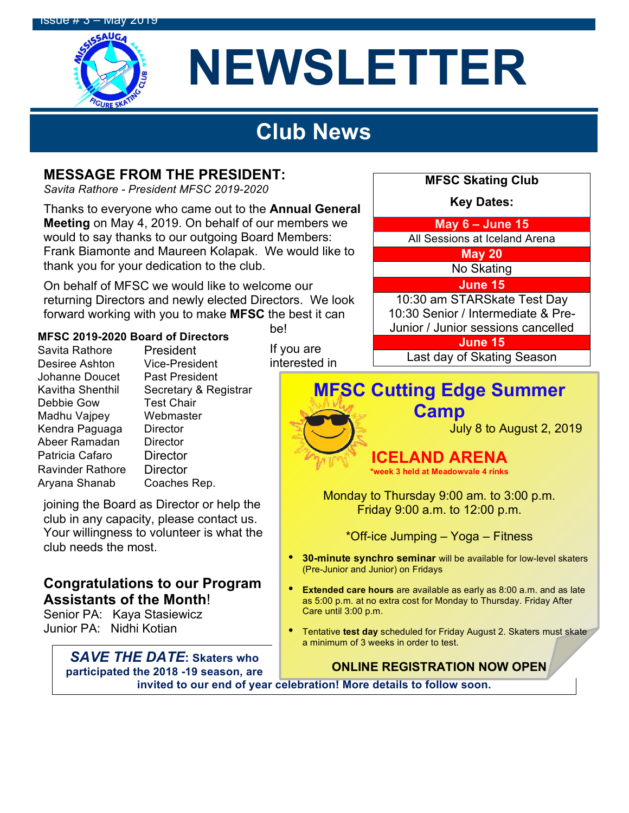

# **NEWSLETTER**

## **Club News**

#### **MESSAGE FROM THE PRESIDENT:**

*Savita Rathore - President MFSC 2019-2020*

Thanks to everyone who came out to the **Annual General Meeting** on May 4, 2019. On behalf of our members we would to say thanks to our outgoing Board Members: Frank Biamonte and Maureen Kolapak. We would like to thank you for your dedication to the club.

On behalf of MFSC we would like to welcome our returning Directors and newly elected Directors. We look forward working with you to make **MFSC** the best it can

#### **MFSC 2019-2020 Board of Directors**

Savita Rathore President Desiree Ashton Vice-President Johanne Doucet Past President Kavitha Shenthil Secretary & Registrar Debbie Gow Test Chair Madhu Vajpey Webmaster Kendra Paguaga Director Abeer Ramadan Director Patricia Cafaro Director Ravinder Rathore Director Aryana Shanab Coaches Rep.

joining the Board as Director or help the club in any capacity, please contact us. Your willingness to volunteer is what the club needs the most.

#### **Congratulations to our Program Assistants of the Month**!

Senior PA: Kaya Stasiewicz Junior PA: Nidhi Kotian

> *SAVE THE DATE***: Skaters who participated the 2018 -19 season, are**

be!

If you are interested in



**\*week 3 held at Meadowvale 4 rinks**

Monday to Thursday 9:00 am. to 3:00 p.m. Friday 9:00 a.m. to 12:00 p.m.

\*Off-ice Jumping – Yoga – Fitness

- **30-minute synchro seminar** will be available for low-level skaters (Pre-Junior and Junior) on Fridays
- **Extended care hours** are available as early as 8:00 a.m. and as late as 5:00 p.m. at no extra cost for Monday to Thursday. Friday After Care until 3:00 p.m.
- Tentative **test day** scheduled for Friday August 2. Skaters must skate a minimum of 3 weeks in order to test.

**ONLINE REGISTRATION NOW OPEN**

invited to our end of year celebration! More details to follow soon.

**MFSC Skating Club**

**Key Dates:**

**May 6 – June 15**

All Sessions at Iceland Arena

**May 20**

No Skating

**June 15**

10:30 am STARSkate Test Day 10:30 Senior / Intermediate & Pre-Junior / Junior sessions cancelled

**June 15**

Last day of Skating Season